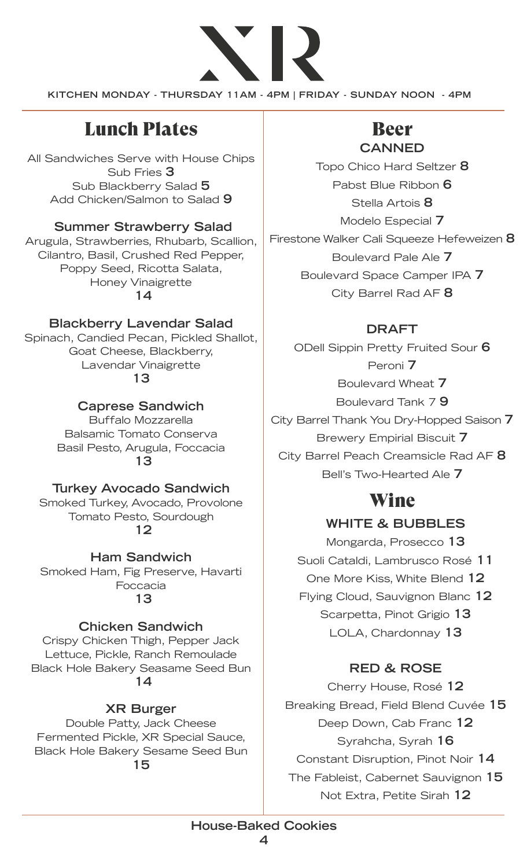

**KITCHEN MONDAY - THURSDAY 11AM - 4PM | FRIDAY - SUNDAY NOON - 4PM**

# Lunch Plates **Beer**

All Sandwiches Serve with House Chips Sub Fries **3** Sub Blackberry Salad **5** Add Chicken/Salmon to Salad **9**

### **Summer Strawberry Salad**

Arugula, Strawberries, Rhubarb, Scallion, Cilantro, Basil, Crushed Red Pepper, Poppy Seed, Ricotta Salata, Honey Vinaigrette  **14**

### **Blackberry Lavendar Salad**

Spinach, Candied Pecan, Pickled Shallot, Goat Cheese, Blackberry, Lavendar Vinaigrette

**13**

### **Caprese Sandwich**

Buffalo Mozzarella Balsamic Tomato Conserva Basil Pesto, Arugula, Foccacia  **13**

### **Turkey Avocado Sandwich**

Smoked Turkey, Avocado, Provolone Tomato Pesto, Sourdough  **12**

**Ham Sandwich** Smoked Ham, Fig Preserve, Havarti Foccacia  **13**

### **Chicken Sandwich**

Crispy Chicken Thigh, Pepper Jack Lettuce, Pickle, Ranch Remoulade Black Hole Bakery Seasame Seed Bun  **14**

### **XR Burger**

Double Patty, Jack Cheese Fermented Pickle, XR Special Sauce, Black Hole Bakery Sesame Seed Bun **15** 

# **CANNED**

Topo Chico Hard Seltzer **8** Pabst Blue Ribbon **6** Stella Artois **8** Modelo Especial **7** Firestone Walker Cali Squeeze Hefeweizen **8** Boulevard Pale Ale **7** Boulevard Space Camper IPA **7** City Barrel Rad AF **8**

### **DRAFT**

ODell Sippin Pretty Fruited Sour **6** Peroni **7** Boulevard Wheat **7** Boulevard Tank 7 **9** City Barrel Thank You Dry-Hopped Saison **7** Brewery Empirial Biscuit **7** City Barrel Peach Creamsicle Rad AF **8** Bell's Two-Hearted Ale **7**

# Wine

### **WHITE & BUBBLES**

Mongarda, Prosecco **13** Suoli Cataldi, Lambrusco Rosé **11** One More Kiss, White Blend **12** Flying Cloud, Sauvignon Blanc **12** Scarpetta, Pinot Grigio **13** LOLA, Chardonnay **13**

### **RED & ROSE**

Cherry House, Rosé **12** Breaking Bread, Field Blend Cuvée **15** Deep Down, Cab Franc **12** Syrahcha, Syrah **16** Constant Disruption, Pinot Noir **14** The Fableist, Cabernet Sauvignon **15** Not Extra, Petite Sirah **12**